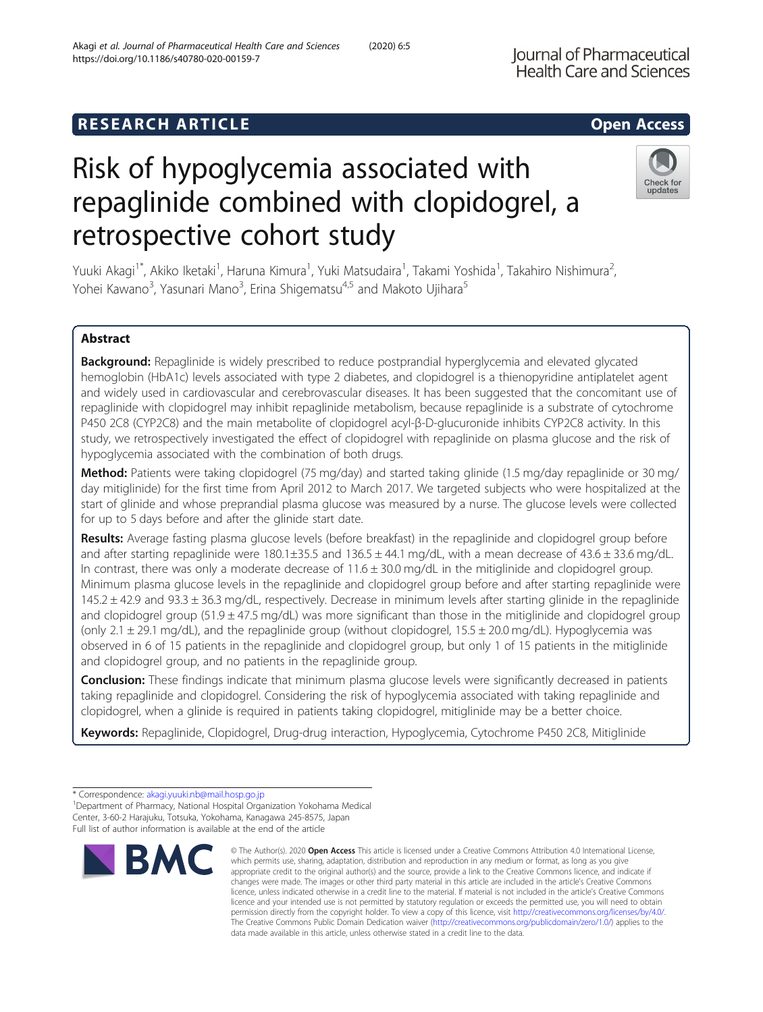# **RESEARCH ARTICLE Example 2014 12:30 The SEAR CH ACCESS**

# Risk of hypoglycemia associated with repaglinide combined with clopidogrel, a retrospective cohort study

Yuuki Akagi<sup>1\*</sup>, Akiko Iketaki<sup>1</sup>, Haruna Kimura<sup>1</sup>, Yuki Matsudaira<sup>1</sup>, Takami Yoshida<sup>1</sup>, Takahiro Nishimura<sup>2</sup> .<br>, Yohei Kawano<sup>3</sup>, Yasunari Mano<sup>3</sup>, Erina Shigematsu<sup>4,5</sup> and Makoto Ujihara<sup>5</sup>

# Abstract

Background: Repaglinide is widely prescribed to reduce postprandial hyperglycemia and elevated glycated hemoglobin (HbA1c) levels associated with type 2 diabetes, and clopidogrel is a thienopyridine antiplatelet agent and widely used in cardiovascular and cerebrovascular diseases. It has been suggested that the concomitant use of repaglinide with clopidogrel may inhibit repaglinide metabolism, because repaglinide is a substrate of cytochrome P450 2C8 (CYP2C8) and the main metabolite of clopidogrel acyl-β-D-glucuronide inhibits CYP2C8 activity. In this study, we retrospectively investigated the effect of clopidogrel with repaglinide on plasma glucose and the risk of hypoglycemia associated with the combination of both drugs.

Method: Patients were taking clopidogrel (75 mg/day) and started taking glinide (1.5 mg/day repaglinide or 30 mg/ day mitiglinide) for the first time from April 2012 to March 2017. We targeted subjects who were hospitalized at the start of glinide and whose preprandial plasma glucose was measured by a nurse. The glucose levels were collected for up to 5 days before and after the glinide start date.

Results: Average fasting plasma glucose levels (before breakfast) in the repaglinide and clopidogrel group before and after starting repaglinide were  $180.1\pm35.5$  and  $136.5\pm44.1$  mg/dL, with a mean decrease of  $43.6\pm33.6$  mg/dL. In contrast, there was only a moderate decrease of 11.6 ± 30.0 mg/dL in the mitiglinide and clopidogrel group. Minimum plasma glucose levels in the repaglinide and clopidogrel group before and after starting repaglinide were  $145.2 \pm 42.9$  and  $93.3 \pm 36.3$  mg/dL, respectively. Decrease in minimum levels after starting glinide in the repaglinide and clopidogrel group (51.9  $\pm$  47.5 mg/dL) was more significant than those in the mitiglinide and clopidogrel group (only 2.1 ± 29.1 mg/dL), and the repaglinide group (without clopidogrel, 15.5 ± 20.0 mg/dL). Hypoglycemia was observed in 6 of 15 patients in the repaglinide and clopidogrel group, but only 1 of 15 patients in the mitiglinide and clopidogrel group, and no patients in the repaglinide group.

Conclusion: These findings indicate that minimum plasma glucose levels were significantly decreased in patients taking repaglinide and clopidogrel. Considering the risk of hypoglycemia associated with taking repaglinide and clopidogrel, when a glinide is required in patients taking clopidogrel, mitiglinide may be a better choice.

Keywords: Repaglinide, Clopidogrel, Drug-drug interaction, Hypoglycemia, Cytochrome P450 2C8, Mitiglinide

**BMC** 

changes were made. The images or other third party material in this article are included in the article's Creative Commons licence, unless indicated otherwise in a credit line to the material. If material is not included in the article's Creative Commons licence and your intended use is not permitted by statutory regulation or exceeds the permitted use, you will need to obtain permission directly from the copyright holder. To view a copy of this licence, visit [http://creativecommons.org/licenses/by/4.0/.](http://creativecommons.org/licenses/by/4.0/) The Creative Commons Public Domain Dedication waiver [\(http://creativecommons.org/publicdomain/zero/1.0/](http://creativecommons.org/publicdomain/zero/1.0/)) applies to the data made available in this article, unless otherwise stated in a credit line to the data.

© The Author(s), 2020 **Open Access** This article is licensed under a Creative Commons Attribution 4.0 International License, which permits use, sharing, adaptation, distribution and reproduction in any medium or format, as long as you give appropriate credit to the original author(s) and the source, provide a link to the Creative Commons licence, and indicate if





<sup>\*</sup> Correspondence: [akagi.yuuki.nb@mail.hosp.go.jp](mailto:akagi.yuuki.nb@mail.hosp.go.jp) <sup>1</sup>

<sup>&</sup>lt;sup>1</sup>Department of Pharmacy, National Hospital Organization Yokohama Medical Center, 3-60-2 Harajuku, Totsuka, Yokohama, Kanagawa 245-8575, Japan Full list of author information is available at the end of the article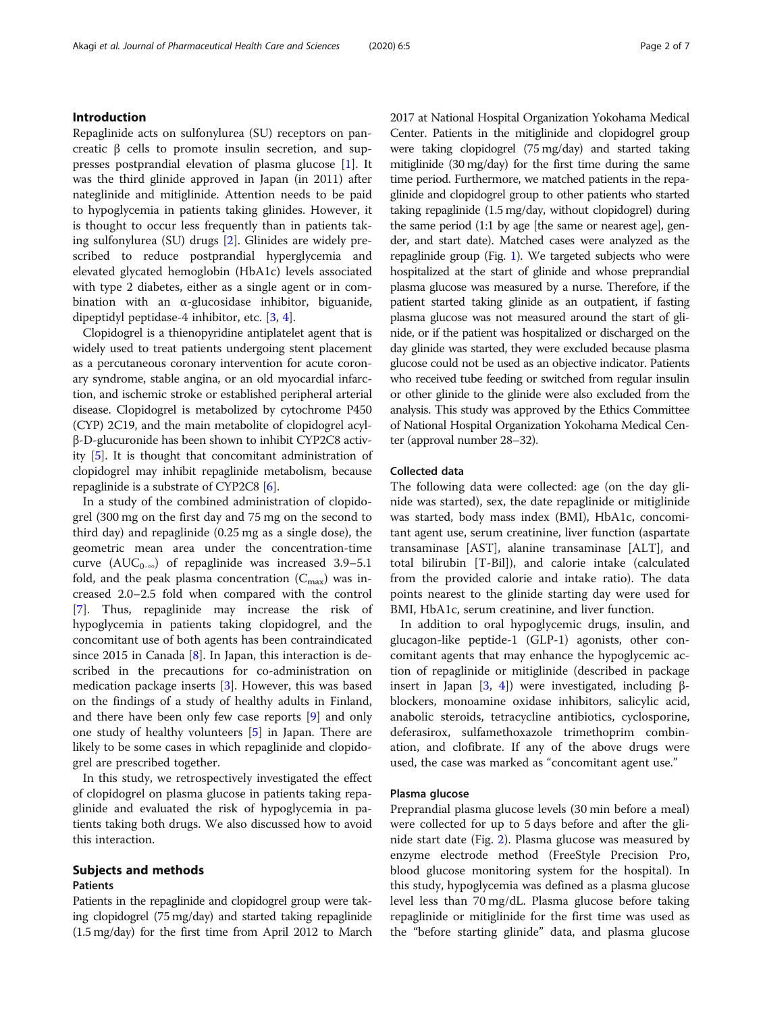# Introduction

Repaglinide acts on sulfonylurea (SU) receptors on pancreatic β cells to promote insulin secretion, and suppresses postprandial elevation of plasma glucose [\[1](#page-6-0)]. It was the third glinide approved in Japan (in 2011) after nateglinide and mitiglinide. Attention needs to be paid to hypoglycemia in patients taking glinides. However, it is thought to occur less frequently than in patients taking sulfonylurea (SU) drugs [\[2](#page-6-0)]. Glinides are widely prescribed to reduce postprandial hyperglycemia and elevated glycated hemoglobin (HbA1c) levels associated with type 2 diabetes, either as a single agent or in combination with an α-glucosidase inhibitor, biguanide, dipeptidyl peptidase-4 inhibitor, etc. [[3,](#page-6-0) [4\]](#page-6-0).

Clopidogrel is a thienopyridine antiplatelet agent that is widely used to treat patients undergoing stent placement as a percutaneous coronary intervention for acute coronary syndrome, stable angina, or an old myocardial infarction, and ischemic stroke or established peripheral arterial disease. Clopidogrel is metabolized by cytochrome P450 (CYP) 2C19, and the main metabolite of clopidogrel acylβ-D-glucuronide has been shown to inhibit CYP2C8 activity [\[5\]](#page-6-0). It is thought that concomitant administration of clopidogrel may inhibit repaglinide metabolism, because repaglinide is a substrate of CYP2C8 [\[6](#page-6-0)].

In a study of the combined administration of clopidogrel (300 mg on the first day and 75 mg on the second to third day) and repaglinide (0.25 mg as a single dose), the geometric mean area under the concentration-time curve ( $AUC_{0-\infty}$ ) of repaglinide was increased 3.9–5.1 fold, and the peak plasma concentration  $(C_{\text{max}})$  was increased 2.0–2.5 fold when compared with the control [[7\]](#page-6-0). Thus, repaglinide may increase the risk of hypoglycemia in patients taking clopidogrel, and the concomitant use of both agents has been contraindicated since 2015 in Canada [\[8](#page-6-0)]. In Japan, this interaction is described in the precautions for co-administration on medication package inserts [[3\]](#page-6-0). However, this was based on the findings of a study of healthy adults in Finland, and there have been only few case reports [\[9](#page-6-0)] and only one study of healthy volunteers [[5\]](#page-6-0) in Japan. There are likely to be some cases in which repaglinide and clopidogrel are prescribed together.

In this study, we retrospectively investigated the effect of clopidogrel on plasma glucose in patients taking repaglinide and evaluated the risk of hypoglycemia in patients taking both drugs. We also discussed how to avoid this interaction.

# Subjects and methods Patients

Patients in the repaglinide and clopidogrel group were taking clopidogrel (75 mg/day) and started taking repaglinide (1.5 mg/day) for the first time from April 2012 to March 2017 at National Hospital Organization Yokohama Medical Center. Patients in the mitiglinide and clopidogrel group were taking clopidogrel (75 mg/day) and started taking mitiglinide (30 mg/day) for the first time during the same time period. Furthermore, we matched patients in the repaglinide and clopidogrel group to other patients who started taking repaglinide (1.5 mg/day, without clopidogrel) during the same period (1:1 by age [the same or nearest age], gender, and start date). Matched cases were analyzed as the repaglinide group (Fig. [1](#page-2-0)). We targeted subjects who were hospitalized at the start of glinide and whose preprandial plasma glucose was measured by a nurse. Therefore, if the patient started taking glinide as an outpatient, if fasting plasma glucose was not measured around the start of glinide, or if the patient was hospitalized or discharged on the day glinide was started, they were excluded because plasma glucose could not be used as an objective indicator. Patients who received tube feeding or switched from regular insulin or other glinide to the glinide were also excluded from the analysis. This study was approved by the Ethics Committee of National Hospital Organization Yokohama Medical Center (approval number 28–32).

## Collected data

The following data were collected: age (on the day glinide was started), sex, the date repaglinide or mitiglinide was started, body mass index (BMI), HbA1c, concomitant agent use, serum creatinine, liver function (aspartate transaminase [AST], alanine transaminase [ALT], and total bilirubin [T-Bil]), and calorie intake (calculated from the provided calorie and intake ratio). The data points nearest to the glinide starting day were used for BMI, HbA1c, serum creatinine, and liver function.

In addition to oral hypoglycemic drugs, insulin, and glucagon-like peptide-1 (GLP-1) agonists, other concomitant agents that may enhance the hypoglycemic action of repaglinide or mitiglinide (described in package insert in Japan [\[3](#page-6-0), [4\]](#page-6-0)) were investigated, including βblockers, monoamine oxidase inhibitors, salicylic acid, anabolic steroids, tetracycline antibiotics, cyclosporine, deferasirox, sulfamethoxazole trimethoprim combination, and clofibrate. If any of the above drugs were used, the case was marked as "concomitant agent use."

# Plasma glucose

Preprandial plasma glucose levels (30 min before a meal) were collected for up to 5 days before and after the glinide start date (Fig. [2\)](#page-2-0). Plasma glucose was measured by enzyme electrode method (FreeStyle Precision Pro, blood glucose monitoring system for the hospital). In this study, hypoglycemia was defined as a plasma glucose level less than 70 mg/dL. Plasma glucose before taking repaglinide or mitiglinide for the first time was used as the "before starting glinide" data, and plasma glucose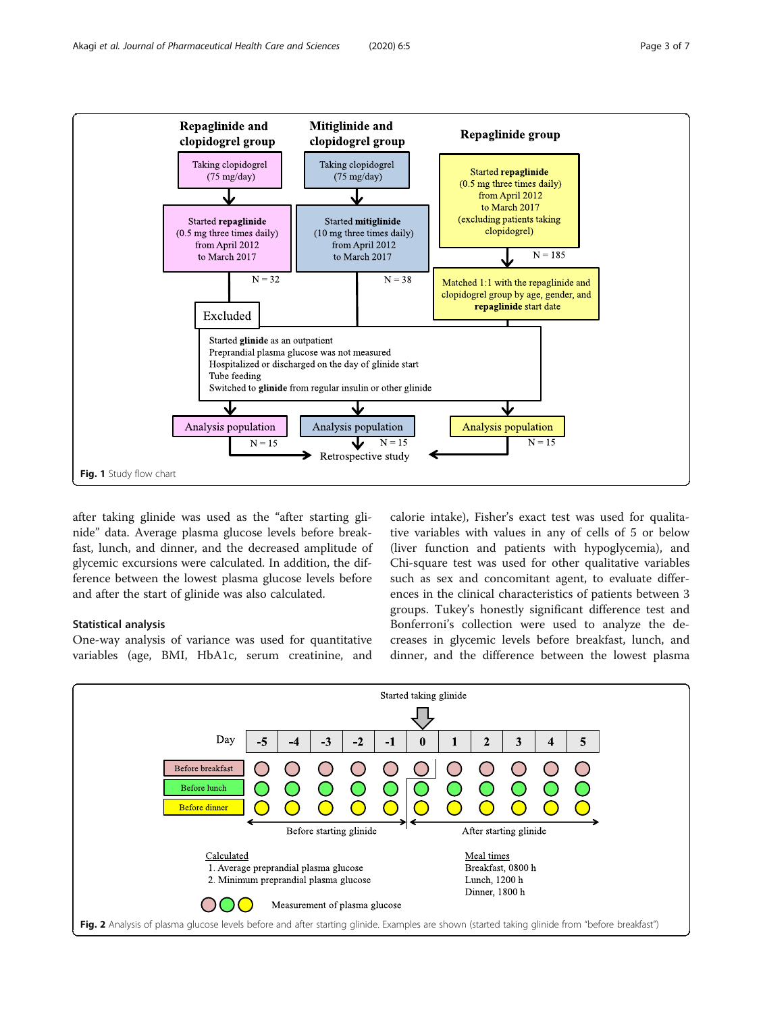<span id="page-2-0"></span>

after taking glinide was used as the "after starting glinide" data. Average plasma glucose levels before breakfast, lunch, and dinner, and the decreased amplitude of glycemic excursions were calculated. In addition, the difference between the lowest plasma glucose levels before and after the start of glinide was also calculated.

# Statistical analysis

One-way analysis of variance was used for quantitative variables (age, BMI, HbA1c, serum creatinine, and calorie intake), Fisher's exact test was used for qualitative variables with values in any of cells of 5 or below (liver function and patients with hypoglycemia), and Chi-square test was used for other qualitative variables such as sex and concomitant agent, to evaluate differences in the clinical characteristics of patients between 3 groups. Tukey's honestly significant difference test and Bonferroni's collection were used to analyze the decreases in glycemic levels before breakfast, lunch, and dinner, and the difference between the lowest plasma

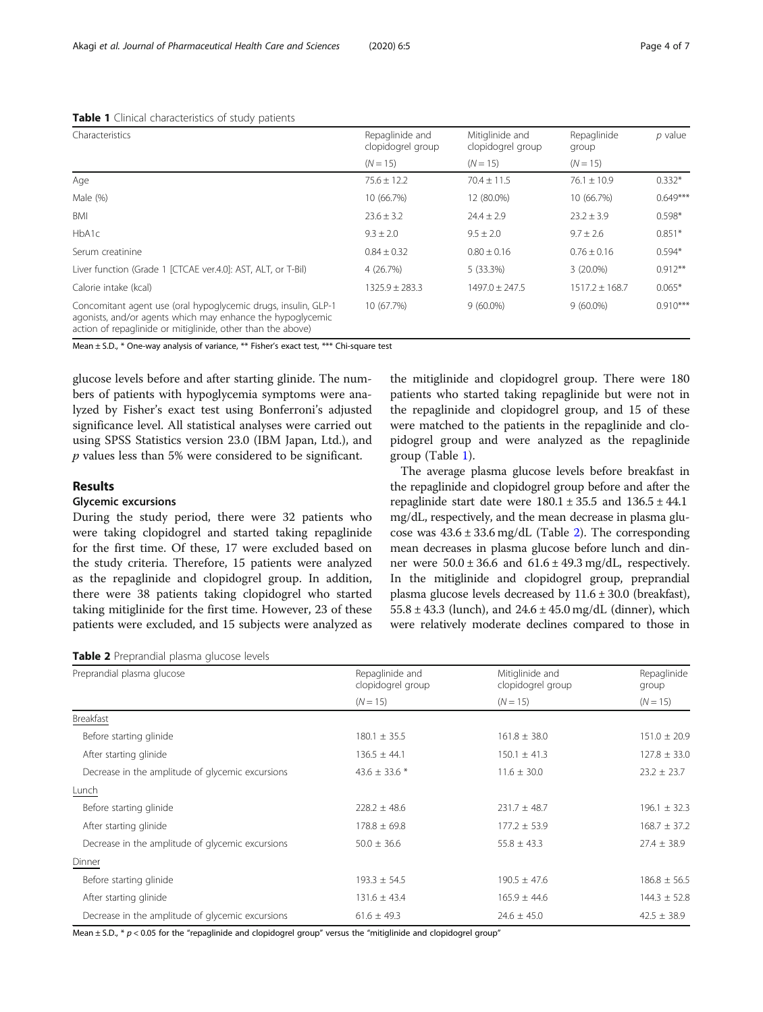| $\sim$                                                                                                                                                                                      |                                      |                                      |                      |            |
|---------------------------------------------------------------------------------------------------------------------------------------------------------------------------------------------|--------------------------------------|--------------------------------------|----------------------|------------|
| Characteristics                                                                                                                                                                             | Repaglinide and<br>clopidogrel group | Mitiglinide and<br>clopidogrel group | Repaglinide<br>group | $p$ value  |
|                                                                                                                                                                                             | $(N = 15)$                           | $(N = 15)$                           | $(N = 15)$           |            |
| Age                                                                                                                                                                                         | $75.6 \pm 12.2$                      | $70.4 \pm 11.5$                      | $76.1 \pm 10.9$      | $0.332*$   |
| Male (%)                                                                                                                                                                                    | 10 (66.7%)                           | 12 (80.0%)                           | 10 (66.7%)           | $0.649***$ |
| BMI                                                                                                                                                                                         | $23.6 \pm 3.2$                       | $74.4 + 7.9$                         | $23.2 \pm 3.9$       | $0.598*$   |
| HbA1c                                                                                                                                                                                       | $9.3 \pm 2.0$                        | $9.5 \pm 2.0$                        | $9.7 \pm 2.6$        | $0.851*$   |
| Serum creatinine                                                                                                                                                                            | $0.84 \pm 0.32$                      | $0.80 \pm 0.16$                      | $0.76 \pm 0.16$      | $0.594*$   |
| Liver function (Grade 1 [CTCAE ver.4.0]: AST, ALT, or T-Bil)                                                                                                                                | 4 (26.7%)                            | 5 (33.3%)                            | $3(20.0\%)$          | $0.912**$  |
| Calorie intake (kcal)                                                                                                                                                                       | $1325.9 \pm 283.3$                   | $1497.0 \pm 247.5$                   | $1517.2 \pm 168.7$   | $0.065*$   |
| Concomitant agent use (oral hypoglycemic drugs, insulin, GLP-1<br>agonists, and/or agents which may enhance the hypoglycemic<br>action of repaglinide or mitiglinide, other than the above) | 10 (67.7%)                           | $9(60.0\%)$                          | $9(60.0\%)$          | $0.910***$ |

# <span id="page-3-0"></span>Table 1 Clinical characteristics of study patients

Mean ± S.D., \* One-way analysis of variance, \*\* Fisher's exact test, \*\*\* Chi-square test

glucose levels before and after starting glinide. The numbers of patients with hypoglycemia symptoms were analyzed by Fisher's exact test using Bonferroni's adjusted significance level. All statistical analyses were carried out using SPSS Statistics version 23.0 (IBM Japan, Ltd.), and p values less than 5% were considered to be significant.

# Results

## Glycemic excursions

During the study period, there were 32 patients who were taking clopidogrel and started taking repaglinide for the first time. Of these, 17 were excluded based on the study criteria. Therefore, 15 patients were analyzed as the repaglinide and clopidogrel group. In addition, there were 38 patients taking clopidogrel who started taking mitiglinide for the first time. However, 23 of these patients were excluded, and 15 subjects were analyzed as the mitiglinide and clopidogrel group. There were 180 patients who started taking repaglinide but were not in the repaglinide and clopidogrel group, and 15 of these were matched to the patients in the repaglinide and clopidogrel group and were analyzed as the repaglinide group (Table 1).

The average plasma glucose levels before breakfast in the repaglinide and clopidogrel group before and after the repaglinide start date were  $180.1 \pm 35.5$  and  $136.5 \pm 44.1$ mg/dL, respectively, and the mean decrease in plasma glucose was  $43.6 \pm 33.6$  mg/dL (Table 2). The corresponding mean decreases in plasma glucose before lunch and dinner were  $50.0 \pm 36.6$  and  $61.6 \pm 49.3$  mg/dL, respectively. In the mitiglinide and clopidogrel group, preprandial plasma glucose levels decreased by  $11.6 \pm 30.0$  (breakfast),  $55.8 \pm 43.3$  (lunch), and  $24.6 \pm 45.0$  mg/dL (dinner), which were relatively moderate declines compared to those in

| Table 2 Preprandial plasma glucose levels |  |  |  |
|-------------------------------------------|--|--|--|
|-------------------------------------------|--|--|--|

| Preprandial plasma glucose                       | Repaglinide and<br>clopidogrel group | Mitiglinide and<br>clopidogrel group | Repaglinide<br>group |  |
|--------------------------------------------------|--------------------------------------|--------------------------------------|----------------------|--|
|                                                  | $(N = 15)$                           | $(N = 15)$                           | $(N = 15)$           |  |
| Breakfast                                        |                                      |                                      |                      |  |
| Before starting glinide                          | $180.1 \pm 35.5$                     | $161.8 \pm 38.0$                     | $151.0 \pm 20.9$     |  |
| After starting glinide                           | $136.5 \pm 44.1$                     | $150.1 \pm 41.3$                     | $127.8 \pm 33.0$     |  |
| Decrease in the amplitude of glycemic excursions | 43.6 $\pm$ 33.6 $*$                  | $11.6 \pm 30.0$                      | $23.2 \pm 23.7$      |  |
| Lunch                                            |                                      |                                      |                      |  |
| Before starting glinide                          | $228.2 \pm 48.6$                     | $231.7 \pm 48.7$                     | $196.1 \pm 32.3$     |  |
| After starting glinide                           | $178.8 \pm 69.8$                     | $177.2 \pm 53.9$                     | $168.7 \pm 37.2$     |  |
| Decrease in the amplitude of glycemic excursions | $50.0 \pm 36.6$                      | $55.8 \pm 43.3$                      | $27.4 \pm 38.9$      |  |
| Dinner                                           |                                      |                                      |                      |  |
| Before starting glinide                          | $193.3 \pm 54.5$                     | $190.5 \pm 47.6$                     | $186.8 \pm 56.5$     |  |
| After starting glinide                           | $131.6 \pm 43.4$                     | $165.9 \pm 44.6$                     | $144.3 \pm 52.8$     |  |
| Decrease in the amplitude of glycemic excursions | $61.6 \pm 49.3$                      | $24.6 \pm 45.0$                      | $42.5 \pm 38.9$      |  |

Mean  $\pm$  S.D.,  $*$   $p$  < 0.05 for the "repaglinide and clopidogrel group" versus the "mitiglinide and clopidogrel group"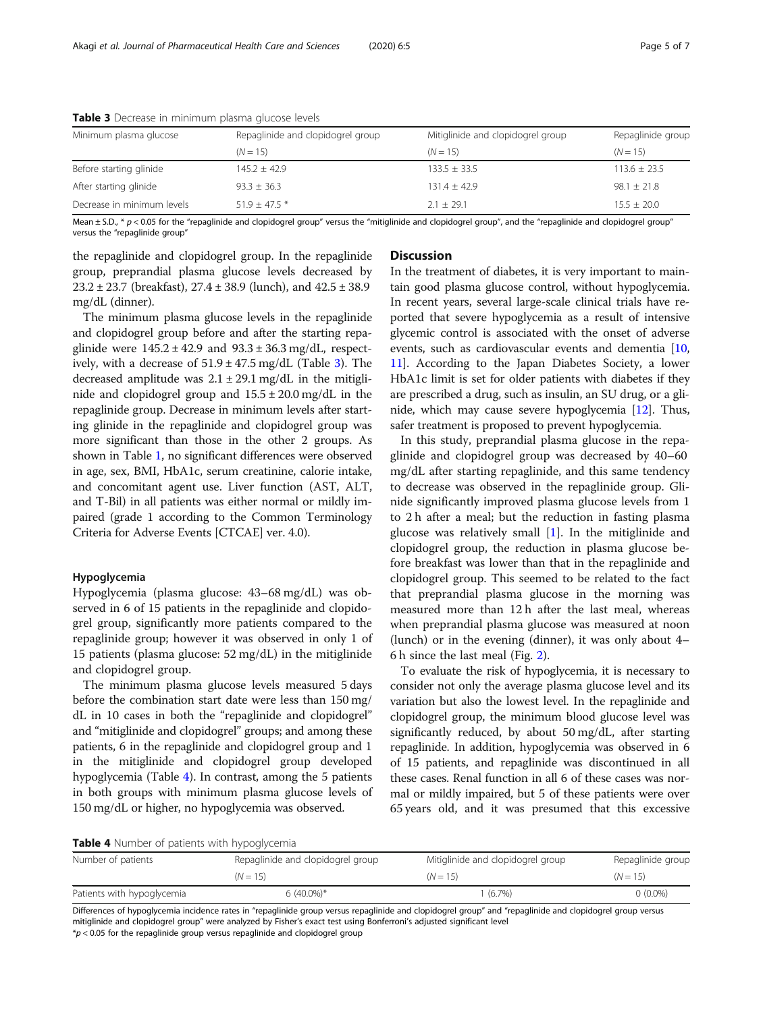| Minimum plasma glucose     | Repaglinide and clopidogrel group | Mitiglinide and clopidogrel group | Repaglinide group |
|----------------------------|-----------------------------------|-----------------------------------|-------------------|
|                            | $(N = 15)$                        | $(N = 15)$                        | $(N = 15)$        |
| Before starting glinide    | $145.2 \pm 42.9$                  | $133.5 \pm 33.5$                  | $113.6 \pm 23.5$  |
| After starting glinide     | $93.3 \pm 36.3$                   | $131.4 \pm 42.9$                  | $98.1 \pm 21.8$   |
| Decrease in minimum levels | $51.9 + 47.5$ *                   | $2.1 + 29.1$                      | $15.5 \pm 20.0$   |

Table 3 Decrease in minimum plasma glucose levels

Mean  $\pm$  S.D.,  $* p$  < 0.05 for the "repaglinide and clopidogrel group" versus the "mitiglinide and clopidogrel group", and the "repaglinide and clopidogrel group" versus the "repaglinide group"

the repaglinide and clopidogrel group. In the repaglinide group, preprandial plasma glucose levels decreased by 23.2 ± 23.7 (breakfast), 27.4 ± 38.9 (lunch), and 42.5 ± 38.9 mg/dL (dinner).

The minimum plasma glucose levels in the repaglinide and clopidogrel group before and after the starting repaglinide were  $145.2 \pm 42.9$  and  $93.3 \pm 36.3$  mg/dL, respectively, with a decrease of  $51.9 \pm 47.5$  mg/dL (Table 3). The decreased amplitude was  $2.1 \pm 29.1$  mg/dL in the mitiglinide and clopidogrel group and  $15.5 \pm 20.0$  mg/dL in the repaglinide group. Decrease in minimum levels after starting glinide in the repaglinide and clopidogrel group was more significant than those in the other 2 groups. As shown in Table [1](#page-3-0), no significant differences were observed in age, sex, BMI, HbA1c, serum creatinine, calorie intake, and concomitant agent use. Liver function (AST, ALT, and T-Bil) in all patients was either normal or mildly impaired (grade 1 according to the Common Terminology Criteria for Adverse Events [CTCAE] ver. 4.0).

# Hypoglycemia

Hypoglycemia (plasma glucose: 43–68 mg/dL) was observed in 6 of 15 patients in the repaglinide and clopidogrel group, significantly more patients compared to the repaglinide group; however it was observed in only 1 of 15 patients (plasma glucose: 52 mg/dL) in the mitiglinide and clopidogrel group.

The minimum plasma glucose levels measured 5 days before the combination start date were less than 150 mg/ dL in 10 cases in both the "repaglinide and clopidogrel" and "mitiglinide and clopidogrel" groups; and among these patients, 6 in the repaglinide and clopidogrel group and 1 in the mitiglinide and clopidogrel group developed hypoglycemia (Table 4). In contrast, among the 5 patients in both groups with minimum plasma glucose levels of 150 mg/dL or higher, no hypoglycemia was observed.

# **Discussion**

In the treatment of diabetes, it is very important to maintain good plasma glucose control, without hypoglycemia. In recent years, several large-scale clinical trials have reported that severe hypoglycemia as a result of intensive glycemic control is associated with the onset of adverse events, such as cardiovascular events and dementia [[10](#page-6-0), [11](#page-6-0)]. According to the Japan Diabetes Society, a lower HbA1c limit is set for older patients with diabetes if they are prescribed a drug, such as insulin, an SU drug, or a glinide, which may cause severe hypoglycemia [\[12](#page-6-0)]. Thus, safer treatment is proposed to prevent hypoglycemia.

In this study, preprandial plasma glucose in the repaglinide and clopidogrel group was decreased by 40–60 mg/dL after starting repaglinide, and this same tendency to decrease was observed in the repaglinide group. Glinide significantly improved plasma glucose levels from 1 to 2 h after a meal; but the reduction in fasting plasma glucose was relatively small [[1](#page-6-0)]. In the mitiglinide and clopidogrel group, the reduction in plasma glucose before breakfast was lower than that in the repaglinide and clopidogrel group. This seemed to be related to the fact that preprandial plasma glucose in the morning was measured more than 12 h after the last meal, whereas when preprandial plasma glucose was measured at noon (lunch) or in the evening (dinner), it was only about 4– 6 h since the last meal (Fig. [2](#page-2-0)).

To evaluate the risk of hypoglycemia, it is necessary to consider not only the average plasma glucose level and its variation but also the lowest level. In the repaglinide and clopidogrel group, the minimum blood glucose level was significantly reduced, by about 50 mg/dL, after starting repaglinide. In addition, hypoglycemia was observed in 6 of 15 patients, and repaglinide was discontinued in all these cases. Renal function in all 6 of these cases was normal or mildly impaired, but 5 of these patients were over 65 years old, and it was presumed that this excessive

#### Table 4 Number of patients with hypoglycemia

| Number of patients         | Repaglinide and clopidogrel group | Mitiglinide and clopidogrel group | Repaglinide group |
|----------------------------|-----------------------------------|-----------------------------------|-------------------|
|                            | $(N = 15)$                        | $(N = 15)$                        | $(N = 15)$        |
| Patients with hypoglycemia | $6(40.0\%)*$                      | $(6.7\%)$                         | $0(0.0\%)$        |

Differences of hypoglycemia incidence rates in "repaglinide group versus repaglinide and clopidogrel group" and "repaglinide and clopidogrel group versus mitiglinide and clopidogrel group" were analyzed by Fisher's exact test using Bonferroni's adjusted significant level

 $p < 0.05$  for the repaglinide group versus repaglinide and clopidogrel group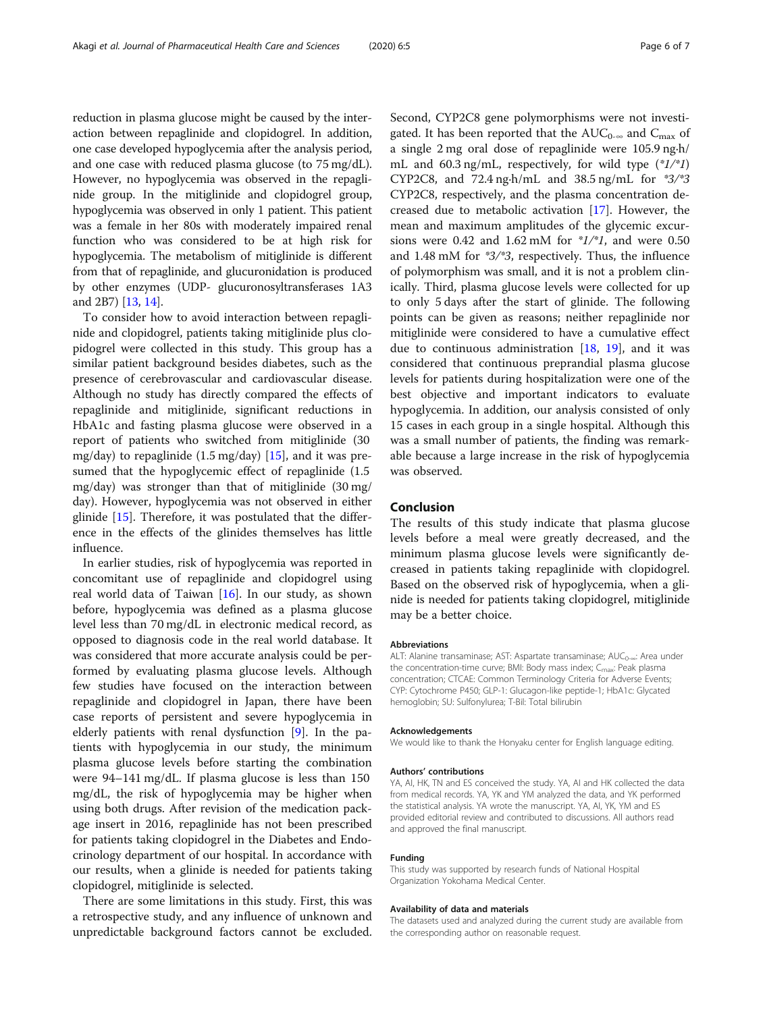reduction in plasma glucose might be caused by the interaction between repaglinide and clopidogrel. In addition, one case developed hypoglycemia after the analysis period, and one case with reduced plasma glucose (to 75 mg/dL). However, no hypoglycemia was observed in the repaglinide group. In the mitiglinide and clopidogrel group, hypoglycemia was observed in only 1 patient. This patient was a female in her 80s with moderately impaired renal function who was considered to be at high risk for hypoglycemia. The metabolism of mitiglinide is different from that of repaglinide, and glucuronidation is produced by other enzymes (UDP- glucuronosyltransferases 1A3 and 2B7) [\[13,](#page-6-0) [14](#page-6-0)].

To consider how to avoid interaction between repaglinide and clopidogrel, patients taking mitiglinide plus clopidogrel were collected in this study. This group has a similar patient background besides diabetes, such as the presence of cerebrovascular and cardiovascular disease. Although no study has directly compared the effects of repaglinide and mitiglinide, significant reductions in HbA1c and fasting plasma glucose were observed in a report of patients who switched from mitiglinide (30 mg/day) to repaglinide  $(1.5 \text{ mg/day})$  [\[15\]](#page-6-0), and it was presumed that the hypoglycemic effect of repaglinide (1.5 mg/day) was stronger than that of mitiglinide (30 mg/ day). However, hypoglycemia was not observed in either glinide [[15\]](#page-6-0). Therefore, it was postulated that the difference in the effects of the glinides themselves has little influence.

In earlier studies, risk of hypoglycemia was reported in concomitant use of repaglinide and clopidogrel using real world data of Taiwan  $[16]$  $[16]$ . In our study, as shown before, hypoglycemia was defined as a plasma glucose level less than 70 mg/dL in electronic medical record, as opposed to diagnosis code in the real world database. It was considered that more accurate analysis could be performed by evaluating plasma glucose levels. Although few studies have focused on the interaction between repaglinide and clopidogrel in Japan, there have been case reports of persistent and severe hypoglycemia in elderly patients with renal dysfunction [\[9](#page-6-0)]. In the patients with hypoglycemia in our study, the minimum plasma glucose levels before starting the combination were 94–141 mg/dL. If plasma glucose is less than 150 mg/dL, the risk of hypoglycemia may be higher when using both drugs. After revision of the medication package insert in 2016, repaglinide has not been prescribed for patients taking clopidogrel in the Diabetes and Endocrinology department of our hospital. In accordance with our results, when a glinide is needed for patients taking clopidogrel, mitiglinide is selected.

There are some limitations in this study. First, this was a retrospective study, and any influence of unknown and unpredictable background factors cannot be excluded.

Second, CYP2C8 gene polymorphisms were not investigated. It has been reported that the  $AUC_{0-\infty}$  and  $C_{\max}$  of a single 2 mg oral dose of repaglinide were 105.9 ng∙h/ mL and 60.3 ng/mL, respectively, for wild type  $(*1/*1)$ CYP2C8, and 72.4 ng∙h/mL and 38.5 ng/mL for \*3/\*3 CYP2C8, respectively, and the plasma concentration decreased due to metabolic activation [\[17\]](#page-6-0). However, the mean and maximum amplitudes of the glycemic excursions were 0.42 and 1.62 mM for  $\frac{1}{2}$ , and were 0.50 and 1.48 mM for \*3/\*3, respectively. Thus, the influence of polymorphism was small, and it is not a problem clinically. Third, plasma glucose levels were collected for up to only 5 days after the start of glinide. The following points can be given as reasons; neither repaglinide nor mitiglinide were considered to have a cumulative effect due to continuous administration  $[18, 19]$  $[18, 19]$  $[18, 19]$ , and it was considered that continuous preprandial plasma glucose levels for patients during hospitalization were one of the best objective and important indicators to evaluate hypoglycemia. In addition, our analysis consisted of only 15 cases in each group in a single hospital. Although this was a small number of patients, the finding was remarkable because a large increase in the risk of hypoglycemia was observed.

# Conclusion

The results of this study indicate that plasma glucose levels before a meal were greatly decreased, and the minimum plasma glucose levels were significantly decreased in patients taking repaglinide with clopidogrel. Based on the observed risk of hypoglycemia, when a glinide is needed for patients taking clopidogrel, mitiglinide may be a better choice.

#### Abbreviations

ALT: Alanine transaminase; AST: Aspartate transaminase; AUC<sub>0-∞</sub>: Area under the concentration-time curve; BMI: Body mass index;  $C_{\text{max}}$ : Peak plasma concentration; CTCAE: Common Terminology Criteria for Adverse Events; CYP: Cytochrome P450; GLP-1: Glucagon-like peptide-1; HbA1c: Glycated hemoglobin; SU: Sulfonylurea; T-Bil: Total bilirubin

#### Acknowledgements

We would like to thank the Honyaku center for English language editing.

#### Authors' contributions

YA, AI, HK, TN and ES conceived the study. YA, AI and HK collected the data from medical records. YA, YK and YM analyzed the data, and YK performed the statistical analysis. YA wrote the manuscript. YA, AI, YK, YM and ES provided editorial review and contributed to discussions. All authors read and approved the final manuscript.

#### Funding

This study was supported by research funds of National Hospital Organization Yokohama Medical Center.

#### Availability of data and materials

The datasets used and analyzed during the current study are available from the corresponding author on reasonable request.